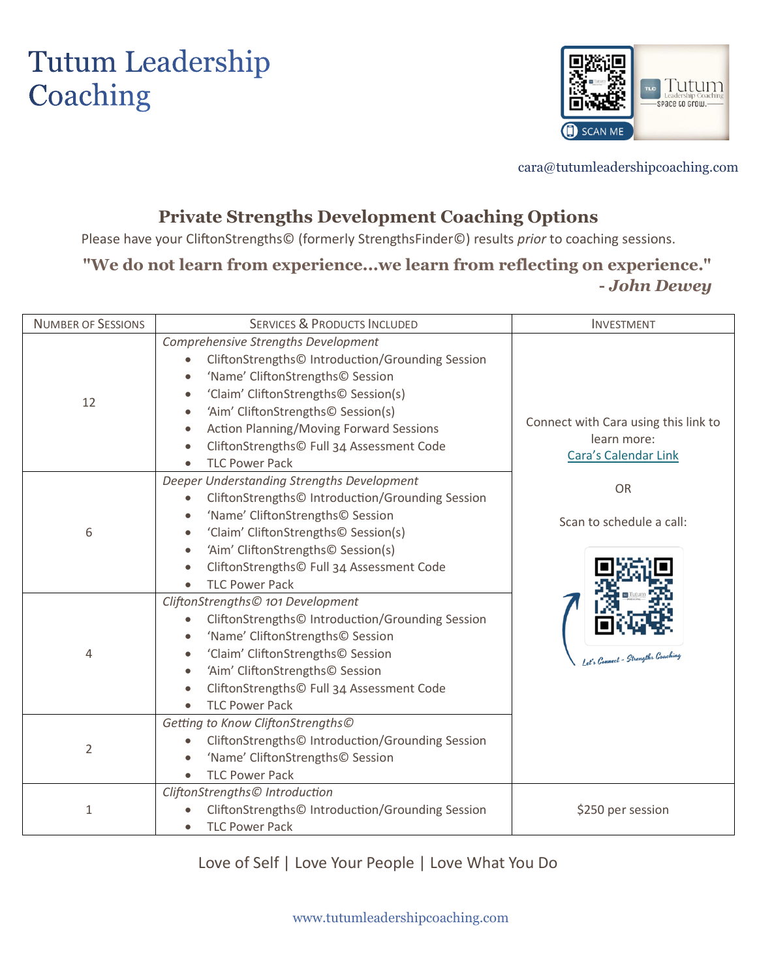# **Tutum Leadership** Coaching



cara@tutumleadershipcoaching.com

## **Private Strengths Development Coaching Options**

Please have your CliftonStrengths© (formerly StrengthsFinder©) results *prior* to coaching sessions.

## **"We do not learn from experience...we learn from reflecting on experience." -** *John Dewey*

| <b>NUMBER OF SESSIONS</b> | <b>SERVICES &amp; PRODUCTS INCLUDED</b>                                                                                                                                                                                                                                                                                                                                                                                      | <b>INVESTMENT</b>                                                           |
|---------------------------|------------------------------------------------------------------------------------------------------------------------------------------------------------------------------------------------------------------------------------------------------------------------------------------------------------------------------------------------------------------------------------------------------------------------------|-----------------------------------------------------------------------------|
| 12                        | Comprehensive Strengths Development<br>CliftonStrengths© Introduction/Grounding Session<br>$\bullet$<br>'Name' CliftonStrengths© Session<br>$\bullet$<br>'Claim' CliftonStrengths© Session(s)<br>$\bullet$<br>'Aim' CliftonStrengths© Session(s)<br>$\bullet$<br><b>Action Planning/Moving Forward Sessions</b><br>$\bullet$<br>CliftonStrengths© Full 34 Assessment Code<br>$\bullet$<br><b>TLC Power Pack</b><br>$\bullet$ | Connect with Cara using this link to<br>learn more:<br>Cara's Calendar Link |
| 6                         | Deeper Understanding Strengths Development<br>CliftonStrengths© Introduction/Grounding Session<br>$\bullet$<br>'Name' CliftonStrengths© Session<br>$\bullet$<br>'Claim' CliftonStrengths© Session(s)<br>$\bullet$<br>'Aim' CliftonStrengths© Session(s)<br>$\bullet$<br>CliftonStrengths© Full 34 Assessment Code<br>$\bullet$<br><b>TLC Power Pack</b><br>$\bullet$                                                         | <b>OR</b><br>Scan to schedule a call:                                       |
| 4                         | CliftonStrengths© 101 Development<br>CliftonStrengths© Introduction/Grounding Session<br>$\bullet$<br>'Name' CliftonStrengths© Session<br>$\bullet$<br>'Claim' CliftonStrengths© Session<br>$\bullet$<br>'Aim' CliftonStrengths© Session<br>$\bullet$<br>CliftonStrengths© Full 34 Assessment Code<br>$\bullet$<br><b>TLC Power Pack</b>                                                                                     |                                                                             |
| $\overline{2}$            | Getting to Know CliftonStrengths©<br>CliftonStrengths© Introduction/Grounding Session<br>$\bullet$<br>'Name' CliftonStrengths© Session<br><b>TLC Power Pack</b><br>$\bullet$                                                                                                                                                                                                                                                 |                                                                             |
| $\mathbf{1}$              | CliftonStrengths© Introduction<br>CliftonStrengths© Introduction/Grounding Session<br><b>TLC Power Pack</b>                                                                                                                                                                                                                                                                                                                  | \$250 per session                                                           |

Love of Self | Love Your People | Love What You Do